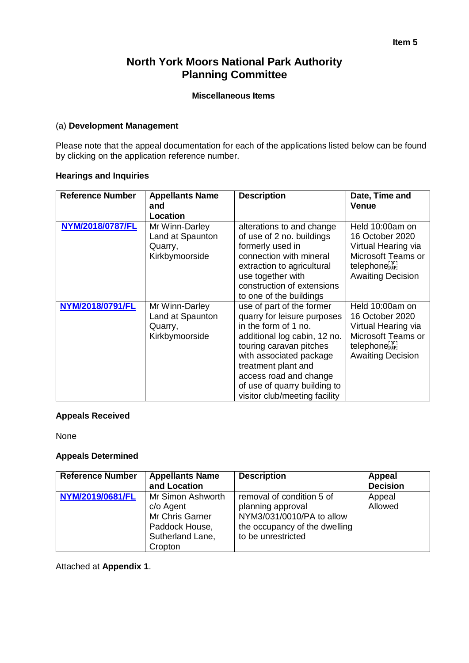#### **Item 5**

# **North York Moors National Park Authority Planning Committee**

#### **Miscellaneous Items**

#### (a) **Development Management**

Please note that the appeal documentation for each of the applications listed below can be found by clicking on the application reference number.

## **Hearings and Inquiries**

| <b>Reference Number</b> | <b>Appellants Name</b><br>and<br>Location                       | <b>Description</b>                                                                                                                                                                                                                                                                       | Date, Time and<br><b>Venue</b>                                                                                                         |
|-------------------------|-----------------------------------------------------------------|------------------------------------------------------------------------------------------------------------------------------------------------------------------------------------------------------------------------------------------------------------------------------------------|----------------------------------------------------------------------------------------------------------------------------------------|
| NYM/2018/0787/FL        | Mr Winn-Darley<br>Land at Spaunton<br>Quarry,<br>Kirkbymoorside | alterations to and change<br>of use of 2 no. buildings<br>formerly used in<br>connection with mineral<br>extraction to agricultural<br>use together with<br>construction of extensions<br>to one of the buildings                                                                        | Held 10:00am on<br>16 October 2020<br>Virtual Hearing via<br>Microsoft Teams or<br>telephone <sup>rp</sup><br><b>Awaiting Decision</b> |
| NYM/2018/0791/FL        | Mr Winn-Darley<br>Land at Spaunton<br>Quarry,<br>Kirkbymoorside | use of part of the former<br>quarry for leisure purposes<br>in the form of 1 no.<br>additional log cabin, 12 no.<br>touring caravan pitches<br>with associated package<br>treatment plant and<br>access road and change<br>of use of quarry building to<br>visitor club/meeting facility | Held 10:00am on<br>16 October 2020<br>Virtual Hearing via<br>Microsoft Teams or<br>telephone <sup>rp</sup><br><b>Awaiting Decision</b> |

## **Appeals Received**

None

#### **Appeals Determined**

| <b>Reference Number</b> | <b>Appellants Name</b><br>and Location                                                             | <b>Description</b>                                                                                                                 | Appeal<br><b>Decision</b> |
|-------------------------|----------------------------------------------------------------------------------------------------|------------------------------------------------------------------------------------------------------------------------------------|---------------------------|
| NYM/2019/0681/FL        | Mr Simon Ashworth<br>c/o Agent<br>Mr Chris Garner<br>Paddock House,<br>Sutherland Lane,<br>Cropton | removal of condition 5 of<br>planning approval<br>NYM3/031/0010/PA to allow<br>the occupancy of the dwelling<br>to be unrestricted | Appeal<br>Allowed         |

Attached at **Appendix 1**.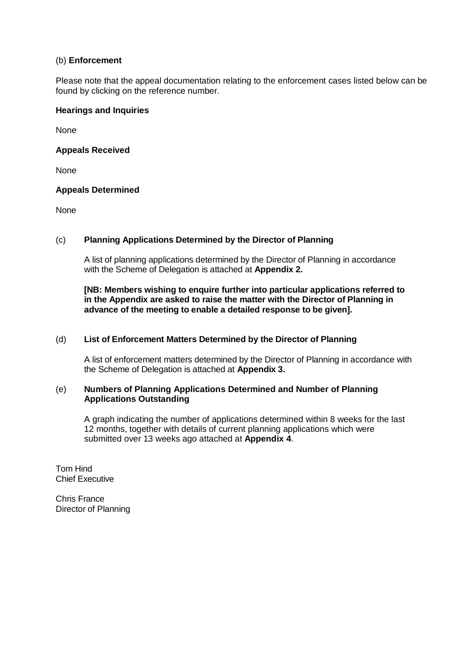## (b) **Enforcement**

Please note that the appeal documentation relating to the enforcement cases listed below can be found by clicking on the reference number.

## **Hearings and Inquiries**

None

## **Appeals Received**

None

## **Appeals Determined**

None

# (c) **Planning Applications Determined by the Director of Planning**

A list of planning applications determined by the Director of Planning in accordance with the Scheme of Delegation is attached at **Appendix 2.**

## **[NB: Members wishing to enquire further into particular applications referred to in the Appendix are asked to raise the matter with the Director of Planning in advance of the meeting to enable a detailed response to be given].**

## (d) **List of Enforcement Matters Determined by the Director of Planning**

A list of enforcement matters determined by the Director of Planning in accordance with the Scheme of Delegation is attached at **Appendix 3.**

## (e) **Numbers of Planning Applications Determined and Number of Planning Applications Outstanding**

A graph indicating the number of applications determined within 8 weeks for the last 12 months, together with details of current planning applications which were submitted over 13 weeks ago attached at **Appendix 4**.

Tom Hind Chief Executive

Chris France Director of Planning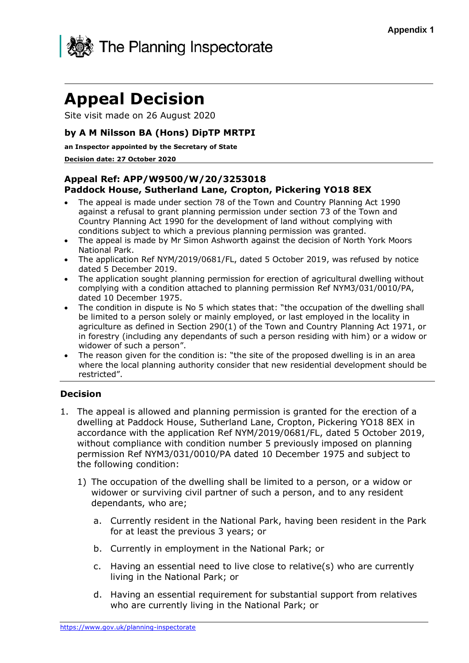

# **Appeal Decision**

Site visit made on 26 August 2020

# **by A M Nilsson BA (Hons) DipTP MRTPI**

**an Inspector appointed by the Secretary of State**

#### **Decision date: 27 October 2020**

# **Appeal Ref: APP/W9500/W/20/3253018 Paddock House, Sutherland Lane, Cropton, Pickering YO18 8EX**

- The appeal is made under section 78 of the Town and Country Planning Act 1990 against a refusal to grant planning permission under section 73 of the Town and Country Planning Act 1990 for the development of land without complying with conditions subject to which a previous planning permission was granted.
- The appeal is made by Mr Simon Ashworth against the decision of North York Moors National Park.
- The application Ref NYM/2019/0681/FL, dated 5 October 2019, was refused by notice dated 5 December 2019.
- The application sought planning permission for erection of agricultural dwelling without complying with a condition attached to planning permission Ref NYM3/031/0010/PA, dated 10 December 1975.
- The condition in dispute is No 5 which states that: "the occupation of the dwelling shall be limited to a person solely or mainly employed, or last employed in the locality in agriculture as defined in Section 290(1) of the Town and Country Planning Act 1971, or in forestry (including any dependants of such a person residing with him) or a widow or widower of such a person".
- The reason given for the condition is: "the site of the proposed dwelling is in an area where the local planning authority consider that new residential development should be restricted".

# **Decision**

- 1. The appeal is allowed and planning permission is granted for the erection of a dwelling at Paddock House, Sutherland Lane, Cropton, Pickering YO18 8EX in accordance with the application Ref NYM/2019/0681/FL, dated 5 October 2019, without compliance with condition number 5 previously imposed on planning permission Ref NYM3/031/0010/PA dated 10 December 1975 and subject to the following condition:
	- 1) The occupation of the dwelling shall be limited to a person, or a widow or widower or surviving civil partner of such a person, and to any resident dependants, who are;
		- a. Currently resident in the National Park, having been resident in the Park for at least the previous 3 years; or
		- b. Currently in employment in the National Park; or
		- c. Having an essential need to live close to relative(s) who are currently living in the National Park; or
		- d. Having an essential requirement for substantial support from relatives who are currently living in the National Park; or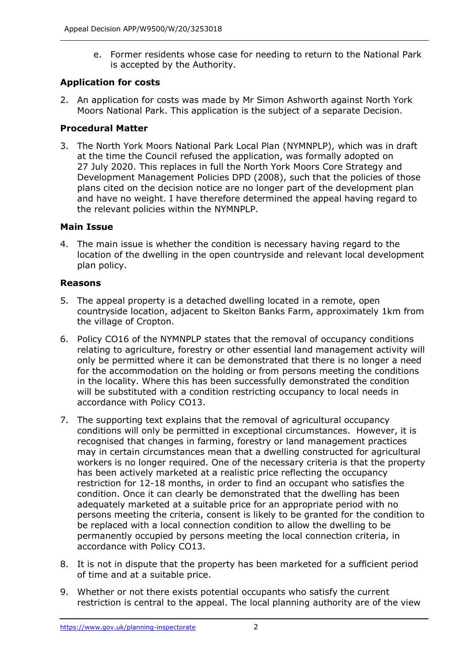e. Former residents whose case for needing to return to the National Park is accepted by the Authority.

# **Application for costs**

2. An application for costs was made by Mr Simon Ashworth against North York Moors National Park. This application is the subject of a separate Decision.

# **Procedural Matter**

3. The North York Moors National Park Local Plan (NYMNPLP), which was in draft at the time the Council refused the application, was formally adopted on 27 July 2020. This replaces in full the North York Moors Core Strategy and Development Management Policies DPD (2008), such that the policies of those plans cited on the decision notice are no longer part of the development plan and have no weight. I have therefore determined the appeal having regard to the relevant policies within the NYMNPLP.

# **Main Issue**

4. The main issue is whether the condition is necessary having regard to the location of the dwelling in the open countryside and relevant local development plan policy.

# **Reasons**

- 5. The appeal property is a detached dwelling located in a remote, open countryside location, adjacent to Skelton Banks Farm, approximately 1km from the village of Cropton.
- 6. Policy CO16 of the NYMNPLP states that the removal of occupancy conditions relating to agriculture, forestry or other essential land management activity will only be permitted where it can be demonstrated that there is no longer a need for the accommodation on the holding or from persons meeting the conditions in the locality. Where this has been successfully demonstrated the condition will be substituted with a condition restricting occupancy to local needs in accordance with Policy CO13.
- 7. The supporting text explains that the removal of agricultural occupancy conditions will only be permitted in exceptional circumstances. However, it is recognised that changes in farming, forestry or land management practices may in certain circumstances mean that a dwelling constructed for agricultural workers is no longer required. One of the necessary criteria is that the property has been actively marketed at a realistic price reflecting the occupancy restriction for 12-18 months, in order to find an occupant who satisfies the condition. Once it can clearly be demonstrated that the dwelling has been adequately marketed at a suitable price for an appropriate period with no persons meeting the criteria, consent is likely to be granted for the condition to be replaced with a local connection condition to allow the dwelling to be permanently occupied by persons meeting the local connection criteria, in accordance with Policy CO13.
- 8. It is not in dispute that the property has been marketed for a sufficient period of time and at a suitable price.
- 9. Whether or not there exists potential occupants who satisfy the current restriction is central to the appeal. The local planning authority are of the view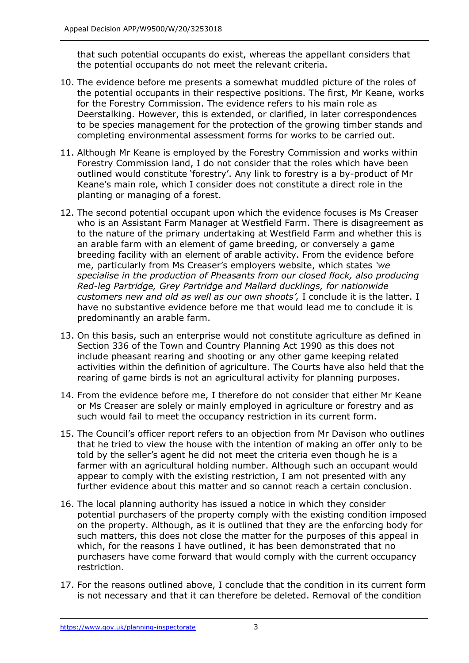that such potential occupants do exist, whereas the appellant considers that the potential occupants do not meet the relevant criteria.

- 10. The evidence before me presents a somewhat muddled picture of the roles of the potential occupants in their respective positions. The first, Mr Keane, works for the Forestry Commission. The evidence refers to his main role as Deerstalking. However, this is extended, or clarified, in later correspondences to be species management for the protection of the growing timber stands and completing environmental assessment forms for works to be carried out.
- 11. Although Mr Keane is employed by the Forestry Commission and works within Forestry Commission land, I do not consider that the roles which have been outlined would constitute 'forestry'. Any link to forestry is a by-product of Mr Keane's main role, which I consider does not constitute a direct role in the planting or managing of a forest.
- 12. The second potential occupant upon which the evidence focuses is Ms Creaser who is an Assistant Farm Manager at Westfield Farm. There is disagreement as to the nature of the primary undertaking at Westfield Farm and whether this is an arable farm with an element of game breeding, or conversely a game breeding facility with an element of arable activity. From the evidence before me, particularly from Ms Creaser's employers website, which states *'we specialise in the production of Pheasants from our closed flock, also producing Red-leg Partridge, Grey Partridge and Mallard ducklings, for nationwide customers new and old as well as our own shoots',* I conclude it is the latter. I have no substantive evidence before me that would lead me to conclude it is predominantly an arable farm.
- 13. On this basis, such an enterprise would not constitute agriculture as defined in Section 336 of the Town and Country Planning Act 1990 as this does not include pheasant rearing and shooting or any other game keeping related activities within the definition of agriculture. The Courts have also held that the rearing of game birds is not an agricultural activity for planning purposes.
- 14. From the evidence before me, I therefore do not consider that either Mr Keane or Ms Creaser are solely or mainly employed in agriculture or forestry and as such would fail to meet the occupancy restriction in its current form.
- 15. The Council's officer report refers to an objection from Mr Davison who outlines that he tried to view the house with the intention of making an offer only to be told by the seller's agent he did not meet the criteria even though he is a farmer with an agricultural holding number. Although such an occupant would appear to comply with the existing restriction, I am not presented with any further evidence about this matter and so cannot reach a certain conclusion.
- 16. The local planning authority has issued a notice in which they consider potential purchasers of the property comply with the existing condition imposed on the property. Although, as it is outlined that they are the enforcing body for such matters, this does not close the matter for the purposes of this appeal in which, for the reasons I have outlined, it has been demonstrated that no purchasers have come forward that would comply with the current occupancy restriction.
- 17. For the reasons outlined above, I conclude that the condition in its current form is not necessary and that it can therefore be deleted. Removal of the condition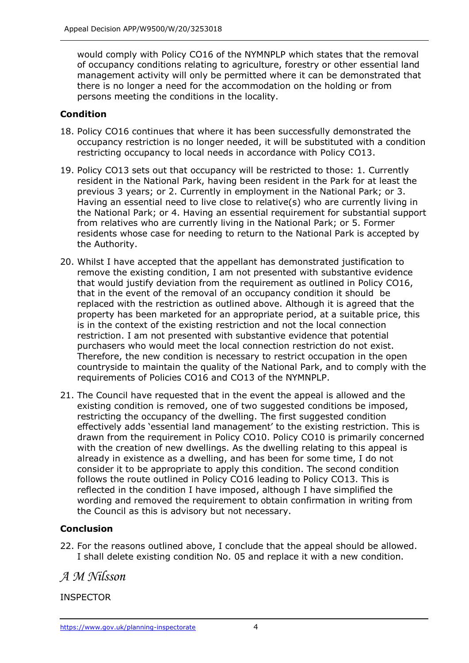would comply with Policy CO16 of the NYMNPLP which states that the removal of occupancy conditions relating to agriculture, forestry or other essential land management activity will only be permitted where it can be demonstrated that there is no longer a need for the accommodation on the holding or from persons meeting the conditions in the locality.

# **Condition**

- 18. Policy CO16 continues that where it has been successfully demonstrated the occupancy restriction is no longer needed, it will be substituted with a condition restricting occupancy to local needs in accordance with Policy CO13.
- 19. Policy CO13 sets out that occupancy will be restricted to those: 1. Currently resident in the National Park, having been resident in the Park for at least the previous 3 years; or 2. Currently in employment in the National Park; or 3. Having an essential need to live close to relative(s) who are currently living in the National Park; or 4. Having an essential requirement for substantial support from relatives who are currently living in the National Park; or 5. Former residents whose case for needing to return to the National Park is accepted by the Authority.
- 20. Whilst I have accepted that the appellant has demonstrated justification to remove the existing condition, I am not presented with substantive evidence that would justify deviation from the requirement as outlined in Policy CO16, that in the event of the removal of an occupancy condition it should be replaced with the restriction as outlined above. Although it is agreed that the property has been marketed for an appropriate period, at a suitable price, this is in the context of the existing restriction and not the local connection restriction. I am not presented with substantive evidence that potential purchasers who would meet the local connection restriction do not exist. Therefore, the new condition is necessary to restrict occupation in the open countryside to maintain the quality of the National Park, and to comply with the requirements of Policies CO16 and CO13 of the NYMNPLP.
- 21. The Council have requested that in the event the appeal is allowed and the existing condition is removed, one of two suggested conditions be imposed, restricting the occupancy of the dwelling. The first suggested condition effectively adds 'essential land management' to the existing restriction. This is drawn from the requirement in Policy CO10. Policy CO10 is primarily concerned with the creation of new dwellings. As the dwelling relating to this appeal is already in existence as a dwelling, and has been for some time, I do not consider it to be appropriate to apply this condition. The second condition follows the route outlined in Policy CO16 leading to Policy CO13. This is reflected in the condition I have imposed, although I have simplified the wording and removed the requirement to obtain confirmation in writing from the Council as this is advisory but not necessary.

# **Conclusion**

22. For the reasons outlined above, I conclude that the appeal should be allowed. I shall delete existing condition No. 05 and replace it with a new condition.

# *A M Nilsson*

# INSPECTOR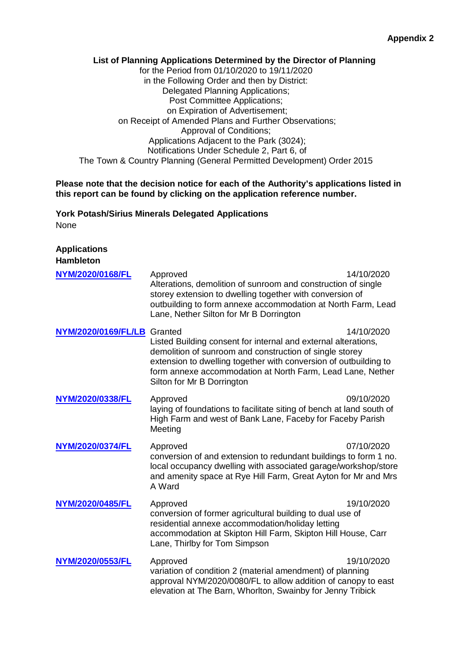#### **List of Planning Applications Determined by the Director of Planning** for the Period from 01/10/2020 to 19/11/2020 in the Following Order and then by District: Delegated Planning Applications; Post Committee Applications; on Expiration of Advertisement; on Receipt of Amended Plans and Further Observations; Approval of Conditions; Applications Adjacent to the Park (3024); Notifications Under Schedule 2, Part 6, of The Town & Country Planning (General Permitted Development) Order 2015

## **Please note that the decision notice for each of the Authority's applications listed in this report can be found by clicking on the application reference number.**

## **York Potash/Sirius Minerals Delegated Applications** None

**Applications**

| <b>Hambleton</b>            |                                                                                                                                                                                                                                                                                           |            |
|-----------------------------|-------------------------------------------------------------------------------------------------------------------------------------------------------------------------------------------------------------------------------------------------------------------------------------------|------------|
| NYM/2020/0168/FL            | Approved<br>Alterations, demolition of sunroom and construction of single<br>storey extension to dwelling together with conversion of<br>outbuilding to form annexe accommodation at North Farm, Lead<br>Lane, Nether Silton for Mr B Dorrington                                          | 14/10/2020 |
| NYM/2020/0169/FL/LB Granted | Listed Building consent for internal and external alterations,<br>demolition of sunroom and construction of single storey<br>extension to dwelling together with conversion of outbuilding to<br>form annexe accommodation at North Farm, Lead Lane, Nether<br>Silton for Mr B Dorrington | 14/10/2020 |
| NYM/2020/0338/FL            | Approved<br>laying of foundations to facilitate siting of bench at land south of<br>High Farm and west of Bank Lane, Faceby for Faceby Parish<br>Meeting                                                                                                                                  | 09/10/2020 |
| NYM/2020/0374/FL            | Approved<br>conversion of and extension to redundant buildings to form 1 no.<br>local occupancy dwelling with associated garage/workshop/store<br>and amenity space at Rye Hill Farm, Great Ayton for Mr and Mrs<br>A Ward                                                                | 07/10/2020 |
| NYM/2020/0485/FL            | Approved<br>conversion of former agricultural building to dual use of<br>residential annexe accommodation/holiday letting<br>accommodation at Skipton Hill Farm, Skipton Hill House, Carr<br>Lane, Thirlby for Tom Simpson                                                                | 19/10/2020 |
| NYM/2020/0553/FL            | Approved<br>variation of condition 2 (material amendment) of planning<br>approval NYM/2020/0080/FL to allow addition of canopy to east<br>elevation at The Barn, Whorlton, Swainby for Jenny Tribick                                                                                      | 19/10/2020 |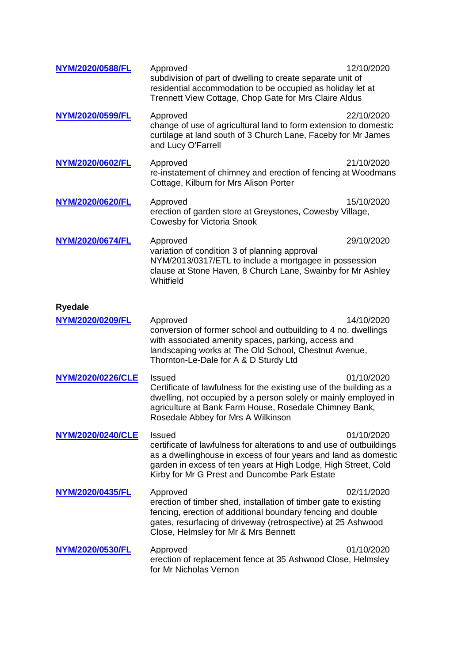| NYM/2020/0588/FL                   | Approved<br>subdivision of part of dwelling to create separate unit of<br>residential accommodation to be occupied as holiday let at<br>Trennett View Cottage, Chop Gate for Mrs Claire Aldus                                                                               | 12/10/2020 |
|------------------------------------|-----------------------------------------------------------------------------------------------------------------------------------------------------------------------------------------------------------------------------------------------------------------------------|------------|
| NYM/2020/0599/FL                   | Approved<br>change of use of agricultural land to form extension to domestic<br>curtilage at land south of 3 Church Lane, Faceby for Mr James<br>and Lucy O'Farrell                                                                                                         | 22/10/2020 |
| NYM/2020/0602/FL                   | Approved<br>re-instatement of chimney and erection of fencing at Woodmans<br>Cottage, Kilburn for Mrs Alison Porter                                                                                                                                                         | 21/10/2020 |
| NYM/2020/0620/FL                   | Approved<br>erection of garden store at Greystones, Cowesby Village,<br><b>Cowesby for Victoria Snook</b>                                                                                                                                                                   | 15/10/2020 |
| NYM/2020/0674/FL                   | Approved<br>variation of condition 3 of planning approval<br>NYM/2013/0317/ETL to include a mortgagee in possession<br>clause at Stone Haven, 8 Church Lane, Swainby for Mr Ashley<br>Whitfield                                                                             | 29/10/2020 |
| <b>Ryedale</b><br>NYM/2020/0209/FL | Approved<br>conversion of former school and outbuilding to 4 no. dwellings<br>with associated amenity spaces, parking, access and<br>landscaping works at The Old School, Chestnut Avenue,<br>Thornton-Le-Dale for A & D Sturdy Ltd                                         | 14/10/2020 |
| <b>NYM/2020/0226/CLE</b>           | <b>Issued</b><br>Certificate of lawfulness for the existing use of the building as a<br>dwelling, not occupied by a person solely or mainly employed in<br>agriculture at Bank Farm House, Rosedale Chimney Bank,<br>Rosedale Abbey for Mrs A Wilkinson                     | 01/10/2020 |
| <b>NYM/2020/0240/CLE</b>           | <b>Issued</b><br>certificate of lawfulness for alterations to and use of outbuildings<br>as a dwellinghouse in excess of four years and land as domestic<br>garden in excess of ten years at High Lodge, High Street, Cold<br>Kirby for Mr G Prest and Duncombe Park Estate | 01/10/2020 |
| NYM/2020/0435/FL                   | Approved<br>erection of timber shed, installation of timber gate to existing<br>fencing, erection of additional boundary fencing and double<br>gates, resurfacing of driveway (retrospective) at 25 Ashwood<br>Close, Helmsley for Mr & Mrs Bennett                         | 02/11/2020 |
| NYM/2020/0530/FL                   | Approved<br>erection of replacement fence at 35 Ashwood Close, Helmsley<br>for Mr Nicholas Vernon                                                                                                                                                                           | 01/10/2020 |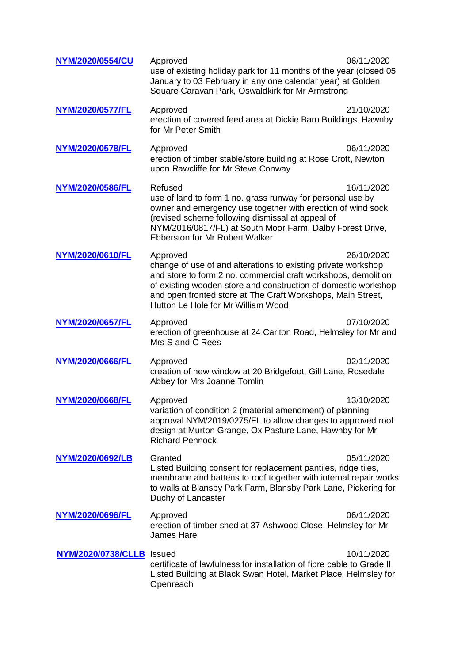| NYM/2020/0554/CU          | Approved<br>use of existing holiday park for 11 months of the year (closed 05<br>January to 03 February in any one calendar year) at Golden<br>Square Caravan Park, Oswaldkirk for Mr Armstrong                                                                                                                    | 06/11/2020 |
|---------------------------|--------------------------------------------------------------------------------------------------------------------------------------------------------------------------------------------------------------------------------------------------------------------------------------------------------------------|------------|
| NYM/2020/0577/FL          | Approved<br>erection of covered feed area at Dickie Barn Buildings, Hawnby<br>for Mr Peter Smith                                                                                                                                                                                                                   | 21/10/2020 |
| NYM/2020/0578/FL          | Approved<br>erection of timber stable/store building at Rose Croft, Newton<br>upon Rawcliffe for Mr Steve Conway                                                                                                                                                                                                   | 06/11/2020 |
| NYM/2020/0586/FL          | Refused<br>use of land to form 1 no. grass runway for personal use by<br>owner and emergency use together with erection of wind sock<br>(revised scheme following dismissal at appeal of<br>NYM/2016/0817/FL) at South Moor Farm, Dalby Forest Drive,<br><b>Ebberston for Mr Robert Walker</b>                     | 16/11/2020 |
| NYM/2020/0610/FL          | Approved<br>change of use of and alterations to existing private workshop<br>and store to form 2 no. commercial craft workshops, demolition<br>of existing wooden store and construction of domestic workshop<br>and open fronted store at The Craft Workshops, Main Street,<br>Hutton Le Hole for Mr William Wood | 26/10/2020 |
| NYM/2020/0657/FL          | Approved<br>erection of greenhouse at 24 Carlton Road, Helmsley for Mr and<br>Mrs S and C Rees                                                                                                                                                                                                                     | 07/10/2020 |
| NYM/2020/0666/FL          | Approved<br>creation of new window at 20 Bridgefoot, Gill Lane, Rosedale<br>Abbey for Mrs Joanne Tomlin                                                                                                                                                                                                            | 02/11/2020 |
| NYM/2020/0668/FL          | Approved<br>variation of condition 2 (material amendment) of planning<br>approval NYM/2019/0275/FL to allow changes to approved roof<br>design at Murton Grange, Ox Pasture Lane, Hawnby for Mr<br><b>Richard Pennock</b>                                                                                          | 13/10/2020 |
| NYM/2020/0692/LB          | Granted<br>Listed Building consent for replacement pantiles, ridge tiles,<br>membrane and battens to roof together with internal repair works<br>to walls at Blansby Park Farm, Blansby Park Lane, Pickering for<br>Duchy of Lancaster                                                                             | 05/11/2020 |
| <b>NYM/2020/0696/FL</b>   | Approved<br>erection of timber shed at 37 Ashwood Close, Helmsley for Mr<br><b>James Hare</b>                                                                                                                                                                                                                      | 06/11/2020 |
| NYM/2020/0738/CLLB Issued | certificate of lawfulness for installation of fibre cable to Grade II<br>Listed Building at Black Swan Hotel, Market Place, Helmsley for<br>Openreach                                                                                                                                                              | 10/11/2020 |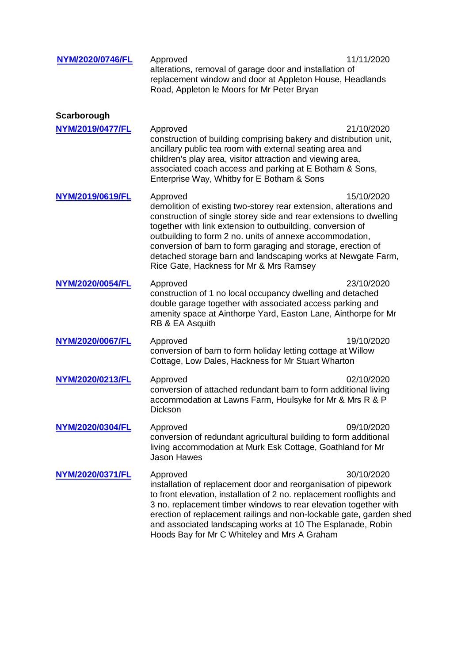| NYM/2020/0746/FL | Approved<br>alterations, removal of garage door and installation of<br>replacement window and door at Appleton House, Headlands<br>Road, Appleton le Moors for Mr Peter Bryan                                                                                                                                                                                                                                                                            | 11/11/2020 |
|------------------|----------------------------------------------------------------------------------------------------------------------------------------------------------------------------------------------------------------------------------------------------------------------------------------------------------------------------------------------------------------------------------------------------------------------------------------------------------|------------|
| Scarborough      |                                                                                                                                                                                                                                                                                                                                                                                                                                                          |            |
| NYM/2019/0477/FL | Approved<br>construction of building comprising bakery and distribution unit,<br>ancillary public tea room with external seating area and<br>children's play area, visitor attraction and viewing area,<br>associated coach access and parking at E Botham & Sons,<br>Enterprise Way, Whitby for E Botham & Sons                                                                                                                                         | 21/10/2020 |
| NYM/2019/0619/FL | Approved<br>demolition of existing two-storey rear extension, alterations and<br>construction of single storey side and rear extensions to dwelling<br>together with link extension to outbuilding, conversion of<br>outbuilding to form 2 no. units of annexe accommodation,<br>conversion of barn to form garaging and storage, erection of<br>detached storage barn and landscaping works at Newgate Farm,<br>Rice Gate, Hackness for Mr & Mrs Ramsey | 15/10/2020 |
| NYM/2020/0054/FL | Approved<br>construction of 1 no local occupancy dwelling and detached<br>double garage together with associated access parking and<br>amenity space at Ainthorpe Yard, Easton Lane, Ainthorpe for Mr<br>RB & EA Asquith                                                                                                                                                                                                                                 | 23/10/2020 |
| NYM/2020/0067/FL | Approved<br>conversion of barn to form holiday letting cottage at Willow<br>Cottage, Low Dales, Hackness for Mr Stuart Wharton                                                                                                                                                                                                                                                                                                                           | 19/10/2020 |
| NYM/2020/0213/FL | Approved<br>conversion of attached redundant barn to form additional living<br>accommodation at Lawns Farm, Houlsyke for Mr & Mrs R & P<br>Dickson                                                                                                                                                                                                                                                                                                       | 02/10/2020 |
| NYM/2020/0304/FL | Approved<br>conversion of redundant agricultural building to form additional<br>living accommodation at Murk Esk Cottage, Goathland for Mr<br><b>Jason Hawes</b>                                                                                                                                                                                                                                                                                         | 09/10/2020 |
| NYM/2020/0371/FL | Approved<br>installation of replacement door and reorganisation of pipework<br>to front elevation, installation of 2 no. replacement rooflights and<br>3 no. replacement timber windows to rear elevation together with<br>erection of replacement railings and non-lockable gate, garden shed<br>and associated landscaping works at 10 The Esplanade, Robin<br>Hoods Bay for Mr C Whiteley and Mrs A Graham                                            | 30/10/2020 |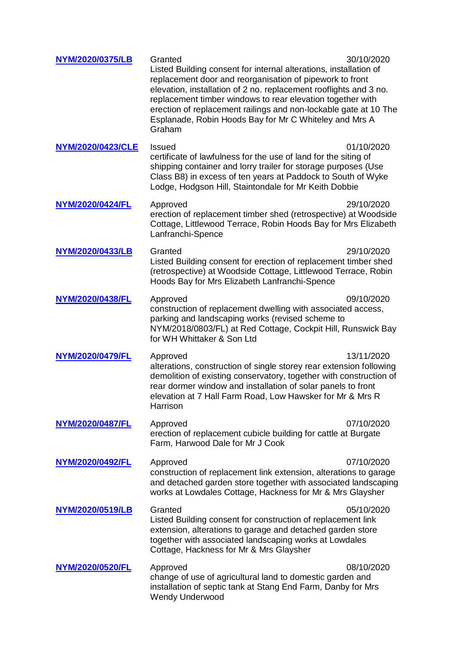| NYM/2020/0375/LB        | Granted<br>Listed Building consent for internal alterations, installation of<br>replacement door and reorganisation of pipework to front<br>elevation, installation of 2 no. replacement rooflights and 3 no.<br>replacement timber windows to rear elevation together with<br>erection of replacement railings and non-lockable gate at 10 The<br>Esplanade, Robin Hoods Bay for Mr C Whiteley and Mrs A<br>Graham | 30/10/2020 |
|-------------------------|---------------------------------------------------------------------------------------------------------------------------------------------------------------------------------------------------------------------------------------------------------------------------------------------------------------------------------------------------------------------------------------------------------------------|------------|
| NYM/2020/0423/CLE       | <b>Issued</b><br>certificate of lawfulness for the use of land for the siting of<br>shipping container and lorry trailer for storage purposes (Use<br>Class B8) in excess of ten years at Paddock to South of Wyke<br>Lodge, Hodgson Hill, Staintondale for Mr Keith Dobbie                                                                                                                                         | 01/10/2020 |
| NYM/2020/0424/FL        | Approved<br>erection of replacement timber shed (retrospective) at Woodside<br>Cottage, Littlewood Terrace, Robin Hoods Bay for Mrs Elizabeth<br>Lanfranchi-Spence                                                                                                                                                                                                                                                  | 29/10/2020 |
| NYM/2020/0433/LB        | Granted<br>Listed Building consent for erection of replacement timber shed<br>(retrospective) at Woodside Cottage, Littlewood Terrace, Robin<br>Hoods Bay for Mrs Elizabeth Lanfranchi-Spence                                                                                                                                                                                                                       | 29/10/2020 |
| NYM/2020/0438/FL        | Approved<br>construction of replacement dwelling with associated access,<br>parking and landscaping works (revised scheme to<br>NYM/2018/0803/FL) at Red Cottage, Cockpit Hill, Runswick Bay<br>for WH Whittaker & Son Ltd                                                                                                                                                                                          | 09/10/2020 |
| NYM/2020/0479/FL        | Approved<br>alterations, construction of single storey rear extension following<br>demolition of existing conservatory, together with construction of<br>rear dormer window and installation of solar panels to front<br>elevation at 7 Hall Farm Road, Low Hawsker for Mr & Mrs R<br>Harrison                                                                                                                      | 13/11/2020 |
| NYM/2020/0487/FL        | Approved<br>erection of replacement cubicle building for cattle at Burgate<br>Farm, Harwood Dale for Mr J Cook                                                                                                                                                                                                                                                                                                      | 07/10/2020 |
| NYM/2020/0492/FL        | Approved<br>construction of replacement link extension, alterations to garage<br>and detached garden store together with associated landscaping<br>works at Lowdales Cottage, Hackness for Mr & Mrs Glaysher                                                                                                                                                                                                        | 07/10/2020 |
| <b>NYM/2020/0519/LB</b> | Granted<br>Listed Building consent for construction of replacement link<br>extension, alterations to garage and detached garden store<br>together with associated landscaping works at Lowdales<br>Cottage, Hackness for Mr & Mrs Glaysher                                                                                                                                                                          | 05/10/2020 |
| <u>NYM/2020/0520/FL</u> | Approved<br>change of use of agricultural land to domestic garden and<br>installation of septic tank at Stang End Farm, Danby for Mrs<br><b>Wendy Underwood</b>                                                                                                                                                                                                                                                     | 08/10/2020 |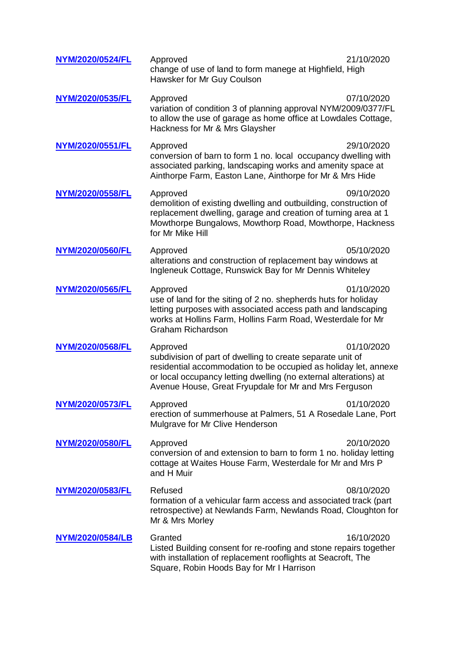| NYM/2020/0524/FL        | Approved<br>change of use of land to form manege at Highfield, High<br>Hawsker for Mr Guy Coulson                                                                                                                                                                      | 21/10/2020 |
|-------------------------|------------------------------------------------------------------------------------------------------------------------------------------------------------------------------------------------------------------------------------------------------------------------|------------|
| NYM/2020/0535/FL        | Approved<br>variation of condition 3 of planning approval NYM/2009/0377/FL<br>to allow the use of garage as home office at Lowdales Cottage,<br>Hackness for Mr & Mrs Glaysher                                                                                         | 07/10/2020 |
| <b>NYM/2020/0551/FL</b> | Approved<br>conversion of barn to form 1 no. local occupancy dwelling with<br>associated parking, landscaping works and amenity space at<br>Ainthorpe Farm, Easton Lane, Ainthorpe for Mr & Mrs Hide                                                                   | 29/10/2020 |
| NYM/2020/0558/FL        | Approved<br>demolition of existing dwelling and outbuilding, construction of<br>replacement dwelling, garage and creation of turning area at 1<br>Mowthorpe Bungalows, Mowthorp Road, Mowthorpe, Hackness<br>for Mr Mike Hill                                          | 09/10/2020 |
| NYM/2020/0560/FL        | Approved<br>alterations and construction of replacement bay windows at<br>Ingleneuk Cottage, Runswick Bay for Mr Dennis Whiteley                                                                                                                                       | 05/10/2020 |
| NYM/2020/0565/FL        | Approved<br>use of land for the siting of 2 no. shepherds huts for holiday<br>letting purposes with associated access path and landscaping<br>works at Hollins Farm, Hollins Farm Road, Westerdale for Mr<br><b>Graham Richardson</b>                                  | 01/10/2020 |
| NYM/2020/0568/FL        | Approved<br>subdivision of part of dwelling to create separate unit of<br>residential accommodation to be occupied as holiday let, annexe<br>or local occupancy letting dwelling (no external alterations) at<br>Avenue House, Great Fryupdale for Mr and Mrs Ferguson | 01/10/2020 |
| NYM/2020/0573/FL        | Approved<br>erection of summerhouse at Palmers, 51 A Rosedale Lane, Port<br>Mulgrave for Mr Clive Henderson                                                                                                                                                            | 01/10/2020 |
| NYM/2020/0580/FL        | Approved<br>conversion of and extension to barn to form 1 no. holiday letting<br>cottage at Waites House Farm, Westerdale for Mr and Mrs P<br>and H Muir                                                                                                               | 20/10/2020 |
| NYM/2020/0583/FL        | Refused<br>formation of a vehicular farm access and associated track (part<br>retrospective) at Newlands Farm, Newlands Road, Cloughton for<br>Mr & Mrs Morley                                                                                                         | 08/10/2020 |
| <b>NYM/2020/0584/LB</b> | Granted<br>Listed Building consent for re-roofing and stone repairs together<br>with installation of replacement rooflights at Seacroft, The<br>Square, Robin Hoods Bay for Mr I Harrison                                                                              | 16/10/2020 |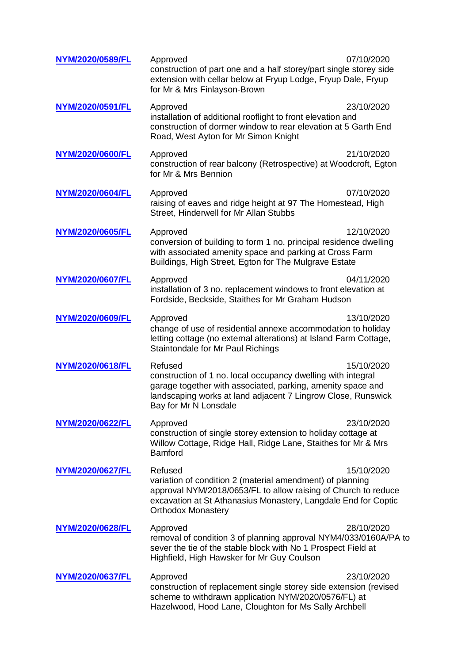| NYM/2020/0589/FL        | 07/10/2020<br>Approved<br>construction of part one and a half storey/part single storey side<br>extension with cellar below at Fryup Lodge, Fryup Dale, Fryup<br>for Mr & Mrs Finlayson-Brown                                                       |
|-------------------------|-----------------------------------------------------------------------------------------------------------------------------------------------------------------------------------------------------------------------------------------------------|
| <b>NYM/2020/0591/FL</b> | 23/10/2020<br>Approved<br>installation of additional rooflight to front elevation and<br>construction of dormer window to rear elevation at 5 Garth End<br>Road, West Ayton for Mr Simon Knight                                                     |
| NYM/2020/0600/FL        | 21/10/2020<br>Approved<br>construction of rear balcony (Retrospective) at Woodcroft, Egton<br>for Mr & Mrs Bennion                                                                                                                                  |
| NYM/2020/0604/FL        | 07/10/2020<br>Approved<br>raising of eaves and ridge height at 97 The Homestead, High<br>Street, Hinderwell for Mr Allan Stubbs                                                                                                                     |
| NYM/2020/0605/FL        | 12/10/2020<br>Approved<br>conversion of building to form 1 no. principal residence dwelling<br>with associated amenity space and parking at Cross Farm<br>Buildings, High Street, Egton for The Mulgrave Estate                                     |
| NYM/2020/0607/FL        | 04/11/2020<br>Approved<br>installation of 3 no. replacement windows to front elevation at<br>Fordside, Beckside, Staithes for Mr Graham Hudson                                                                                                      |
| NYM/2020/0609/FL        | 13/10/2020<br>Approved<br>change of use of residential annexe accommodation to holiday<br>letting cottage (no external alterations) at Island Farm Cottage,<br>Staintondale for Mr Paul Richings                                                    |
| NYM/2020/0618/FL        | Refused<br>15/10/2020<br>construction of 1 no. local occupancy dwelling with integral<br>garage together with associated, parking, amenity space and<br>landscaping works at land adjacent 7 Lingrow Close, Runswick<br>Bay for Mr N Lonsdale       |
| NYM/2020/0622/FL        | Approved<br>23/10/2020<br>construction of single storey extension to holiday cottage at<br>Willow Cottage, Ridge Hall, Ridge Lane, Staithes for Mr & Mrs<br><b>Bamford</b>                                                                          |
| NYM/2020/0627/FL        | Refused<br>15/10/2020<br>variation of condition 2 (material amendment) of planning<br>approval NYM/2018/0653/FL to allow raising of Church to reduce<br>excavation at St Athanasius Monastery, Langdale End for Coptic<br><b>Orthodox Monastery</b> |
| NYM/2020/0628/FL        | 28/10/2020<br>Approved<br>removal of condition 3 of planning approval NYM4/033/0160A/PA to<br>sever the tie of the stable block with No 1 Prospect Field at<br>Highfield, High Hawsker for Mr Guy Coulson                                           |
| NYM/2020/0637/FL        | 23/10/2020<br>Approved<br>construction of replacement single storey side extension (revised<br>scheme to withdrawn application NYM/2020/0576/FL) at<br>Hazelwood, Hood Lane, Cloughton for Ms Sally Archbell                                        |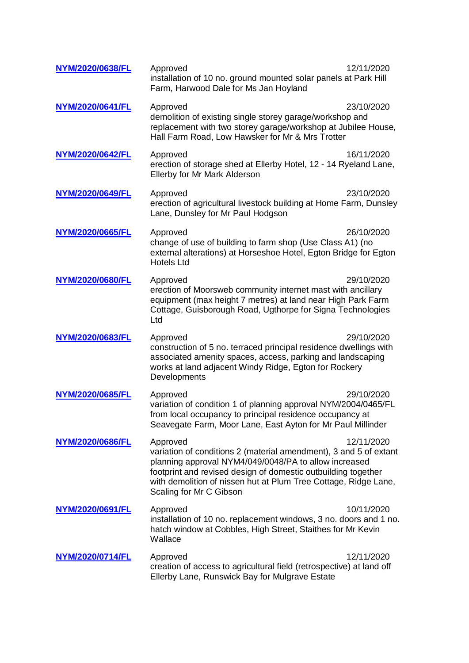| NYM/2020/0638/FL | Approved<br>installation of 10 no. ground mounted solar panels at Park Hill<br>Farm, Harwood Dale for Ms Jan Hoyland                                                                                                                                                                                  | 12/11/2020 |
|------------------|-------------------------------------------------------------------------------------------------------------------------------------------------------------------------------------------------------------------------------------------------------------------------------------------------------|------------|
| NYM/2020/0641/FL | Approved<br>demolition of existing single storey garage/workshop and<br>replacement with two storey garage/workshop at Jubilee House,<br>Hall Farm Road, Low Hawsker for Mr & Mrs Trotter                                                                                                             | 23/10/2020 |
| NYM/2020/0642/FL | Approved<br>erection of storage shed at Ellerby Hotel, 12 - 14 Ryeland Lane,<br>Ellerby for Mr Mark Alderson                                                                                                                                                                                          | 16/11/2020 |
| NYM/2020/0649/FL | Approved<br>erection of agricultural livestock building at Home Farm, Dunsley<br>Lane, Dunsley for Mr Paul Hodgson                                                                                                                                                                                    | 23/10/2020 |
| NYM/2020/0665/FL | Approved<br>change of use of building to farm shop (Use Class A1) (no<br>external alterations) at Horseshoe Hotel, Egton Bridge for Egton<br><b>Hotels Ltd</b>                                                                                                                                        | 26/10/2020 |
| NYM/2020/0680/FL | Approved<br>erection of Moorsweb community internet mast with ancillary<br>equipment (max height 7 metres) at land near High Park Farm<br>Cottage, Guisborough Road, Ugthorpe for Signa Technologies<br>Ltd                                                                                           | 29/10/2020 |
| NYM/2020/0683/FL | Approved<br>construction of 5 no. terraced principal residence dwellings with<br>associated amenity spaces, access, parking and landscaping<br>works at land adjacent Windy Ridge, Egton for Rockery<br>Developments                                                                                  | 29/10/2020 |
| NYM/2020/0685/FL | Approved<br>variation of condition 1 of planning approval NYM/2004/0465/FL<br>from local occupancy to principal residence occupancy at<br>Seavegate Farm, Moor Lane, East Ayton for Mr Paul Millinder                                                                                                 | 29/10/2020 |
| NYM/2020/0686/FL | Approved<br>variation of conditions 2 (material amendment), 3 and 5 of extant<br>planning approval NYM4/049/0048/PA to allow increased<br>footprint and revised design of domestic outbuilding together<br>with demolition of nissen hut at Plum Tree Cottage, Ridge Lane,<br>Scaling for Mr C Gibson | 12/11/2020 |
| NYM/2020/0691/FL | Approved<br>installation of 10 no. replacement windows, 3 no. doors and 1 no.<br>hatch window at Cobbles, High Street, Staithes for Mr Kevin<br>Wallace                                                                                                                                               | 10/11/2020 |
| NYM/2020/0714/FL | Approved<br>creation of access to agricultural field (retrospective) at land off<br>Ellerby Lane, Runswick Bay for Mulgrave Estate                                                                                                                                                                    | 12/11/2020 |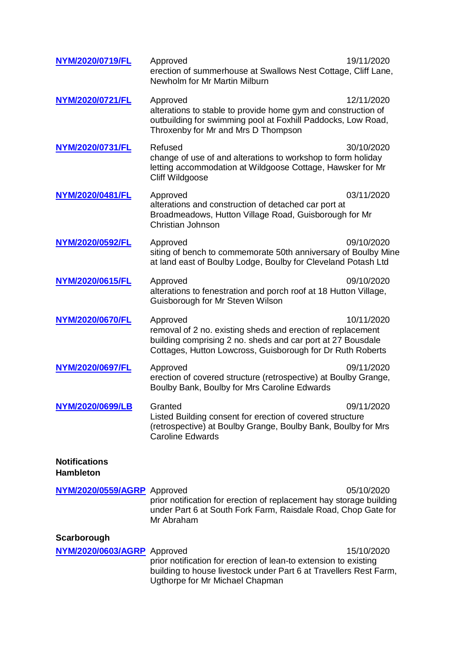| NYM/2020/0719/FL                         | Approved<br>erection of summerhouse at Swallows Nest Cottage, Cliff Lane,<br>Newholm for Mr Martin Milburn                                                                                           | 19/11/2020 |
|------------------------------------------|------------------------------------------------------------------------------------------------------------------------------------------------------------------------------------------------------|------------|
| NYM/2020/0721/FL                         | Approved<br>alterations to stable to provide home gym and construction of<br>outbuilding for swimming pool at Foxhill Paddocks, Low Road,<br>Throxenby for Mr and Mrs D Thompson                     | 12/11/2020 |
| NYM/2020/0731/FL                         | Refused<br>change of use of and alterations to workshop to form holiday<br>letting accommodation at Wildgoose Cottage, Hawsker for Mr<br>Cliff Wildgoose                                             | 30/10/2020 |
| NYM/2020/0481/FL                         | Approved<br>alterations and construction of detached car port at<br>Broadmeadows, Hutton Village Road, Guisborough for Mr<br>Christian Johnson                                                       | 03/11/2020 |
| NYM/2020/0592/FL                         | Approved<br>siting of bench to commemorate 50th anniversary of Boulby Mine<br>at land east of Boulby Lodge, Boulby for Cleveland Potash Ltd                                                          | 09/10/2020 |
| NYM/2020/0615/FL                         | Approved<br>alterations to fenestration and porch roof at 18 Hutton Village,<br>Guisborough for Mr Steven Wilson                                                                                     | 09/10/2020 |
| NYM/2020/0670/FL                         | Approved<br>removal of 2 no. existing sheds and erection of replacement<br>building comprising 2 no. sheds and car port at 27 Bousdale<br>Cottages, Hutton Lowcross, Guisborough for Dr Ruth Roberts | 10/11/2020 |
| <b>NYM/2020/0697/FL</b>                  | Approved<br>erection of covered structure (retrospective) at Boulby Grange,<br>Boulby Bank, Boulby for Mrs Caroline Edwards                                                                          | 09/11/2020 |
| NYM/2020/0699/LB                         | Granted<br>Listed Building consent for erection of covered structure<br>(retrospective) at Boulby Grange, Boulby Bank, Boulby for Mrs<br><b>Caroline Edwards</b>                                     | 09/11/2020 |
| <b>Notifications</b><br><b>Hambleton</b> |                                                                                                                                                                                                      |            |
| NYM/2020/0559/AGRP Approved              | prior notification for erection of replacement hay storage building<br>under Part 6 at South Fork Farm, Raisdale Road, Chop Gate for<br>Mr Abraham                                                   | 05/10/2020 |
| Scarborough                              |                                                                                                                                                                                                      |            |
| NYM/2020/0603/AGRP Approved              | prior notification for erection of lean-to extension to existing<br>building to house livestock under Part 6 at Travellers Rest Farm,<br>Ugthorpe for Mr Michael Chapman                             | 15/10/2020 |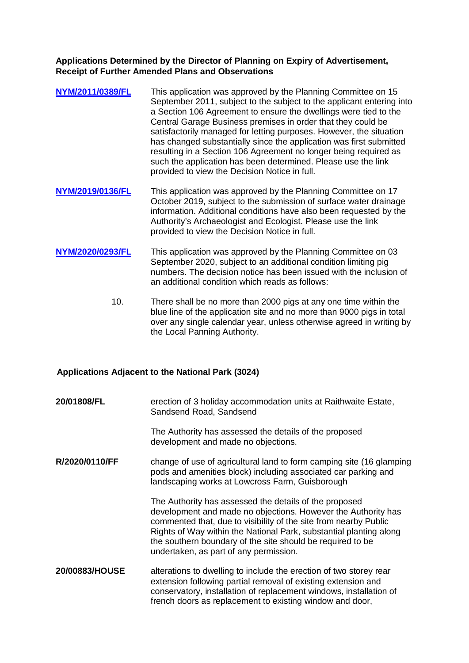#### **Applications Determined by the Director of Planning on Expiry of Advertisement, Receipt of Further Amended Plans and Observations**

- **[NYM/2011/0389/FL](http://planning.northyorkmoors.org.uk/northgate/documentexplorer/application/folderview.aspx?type=NLPL_DC_PLANAPP&key=808191&iWgrnzsWW4I=aH8Pp24Bn4U=)** This application was approved by the Planning Committee on 15 September 2011, subject to the subject to the applicant entering into a Section 106 Agreement to ensure the dwellings were tied to the Central Garage Business premises in order that they could be satisfactorily managed for letting purposes. However, the situation has changed substantially since the application was first submitted resulting in a Section 106 Agreement no longer being required as such the application has been determined. Please use the link provided to view the Decision Notice in full.
- **[NYM/2019/0136/FL](http://planning.northyorkmoors.org.uk/northgate/documentexplorer/application/folderview.aspx?type=NLPL_DC_PLANAPP&key=814743&iWgrnzsWW4I=aH8Pp24Bn4U=)** This application was approved by the Planning Committee on 17 October 2019, subject to the submission of surface water drainage information. Additional conditions have also been requested by the Authority's Archaeologist and Ecologist. Please use the link provided to view the Decision Notice in full.
- **[NYM/2020/0293/FL](http://planning.northyorkmoors.org.uk/northgate/documentexplorer/application/folderview.aspx?type=NLPL_DC_PLANAPP&key=815740&iWgrnzsWW4I=aH8Pp24Bn4U=)** This application was approved by the Planning Committee on 03 September 2020, subject to an additional condition limiting pig numbers. The decision notice has been issued with the inclusion of an additional condition which reads as follows:
	- 10. There shall be no more than 2000 pigs at any one time within the blue line of the application site and no more than 9000 pigs in total over any single calendar year, unless otherwise agreed in writing by the Local Panning Authority.

## **Applications Adjacent to the National Park (3024)**

**20/01808/FL** erection of 3 holiday accommodation units at Raithwaite Estate. Sandsend Road, Sandsend

> The Authority has assessed the details of the proposed development and made no objections.

**R/2020/0110/FF** change of use of agricultural land to form camping site (16 glamping pods and amenities block) including associated car parking and landscaping works at Lowcross Farm, Guisborough

> The Authority has assessed the details of the proposed development and made no objections. However the Authority has commented that, due to visibility of the site from nearby Public Rights of Way within the National Park, substantial planting along the southern boundary of the site should be required to be undertaken, as part of any permission.

**20/00883/HOUSE** alterations to dwelling to include the erection of two storey rear extension following partial removal of existing extension and conservatory, installation of replacement windows, installation of french doors as replacement to existing window and door,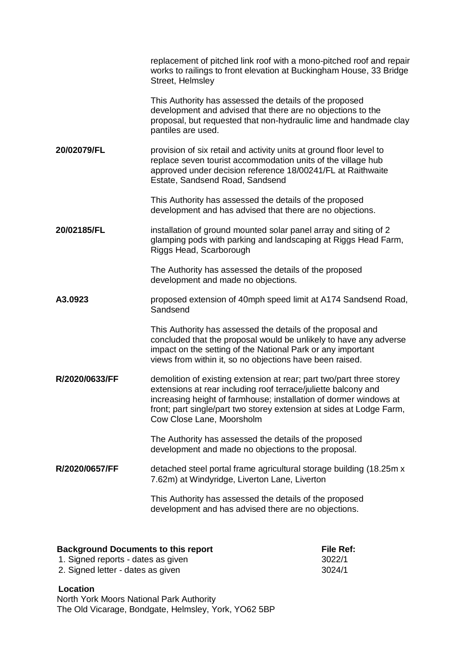|                | replacement of pitched link roof with a mono-pitched roof and repair<br>works to railings to front elevation at Buckingham House, 33 Bridge<br>Street, Helmsley                                                                                                                                                  |
|----------------|------------------------------------------------------------------------------------------------------------------------------------------------------------------------------------------------------------------------------------------------------------------------------------------------------------------|
|                | This Authority has assessed the details of the proposed<br>development and advised that there are no objections to the<br>proposal, but requested that non-hydraulic lime and handmade clay<br>pantiles are used.                                                                                                |
| 20/02079/FL    | provision of six retail and activity units at ground floor level to<br>replace seven tourist accommodation units of the village hub<br>approved under decision reference 18/00241/FL at Raithwaite<br>Estate, Sandsend Road, Sandsend                                                                            |
|                | This Authority has assessed the details of the proposed<br>development and has advised that there are no objections.                                                                                                                                                                                             |
| 20/02185/FL    | installation of ground mounted solar panel array and siting of 2<br>glamping pods with parking and landscaping at Riggs Head Farm,<br>Riggs Head, Scarborough                                                                                                                                                    |
|                | The Authority has assessed the details of the proposed<br>development and made no objections.                                                                                                                                                                                                                    |
| A3.0923        | proposed extension of 40mph speed limit at A174 Sandsend Road,<br>Sandsend                                                                                                                                                                                                                                       |
|                | This Authority has assessed the details of the proposal and<br>concluded that the proposal would be unlikely to have any adverse<br>impact on the setting of the National Park or any important<br>views from within it, so no objections have been raised.                                                      |
| R/2020/0633/FF | demolition of existing extension at rear; part two/part three storey<br>extensions at rear including roof terrace/juliette balcony and<br>increasing height of farmhouse; installation of dormer windows at<br>front; part single/part two storey extension at sides at Lodge Farm,<br>Cow Close Lane, Moorsholm |
|                | The Authority has assessed the details of the proposed<br>development and made no objections to the proposal.                                                                                                                                                                                                    |
| R/2020/0657/FF | detached steel portal frame agricultural storage building (18.25m x<br>7.62m) at Windyridge, Liverton Lane, Liverton                                                                                                                                                                                             |
|                | This Authority has assessed the details of the proposed<br>development and has advised there are no objections.                                                                                                                                                                                                  |
|                |                                                                                                                                                                                                                                                                                                                  |

| <b>Background Documents to this report</b> | <b>File Ref:</b> |  |
|--------------------------------------------|------------------|--|
| 1. Signed reports - dates as given         | 3022/1           |  |
| 2. Signed letter - dates as given          | 3024/1           |  |

# **Location**

North York Moors National Park Authority The Old Vicarage, Bondgate, Helmsley, York, YO62 5BP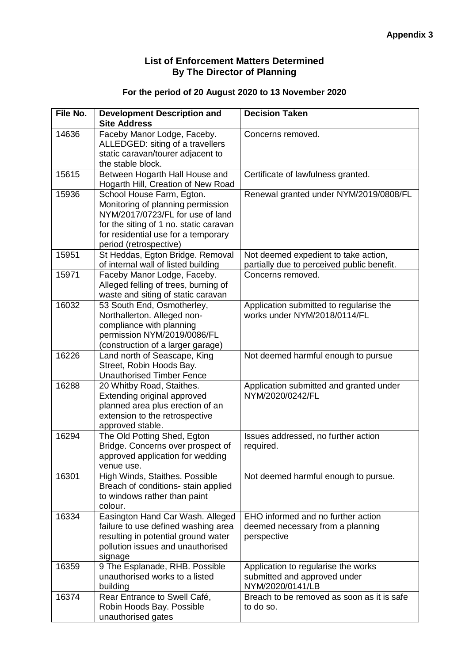# **List of Enforcement Matters Determined By The Director of Planning**

# **For the period of 20 August 2020 to 13 November 2020**

| File No. | <b>Development Description and</b>                                                                                                                                                                            | <b>Decision Taken</b>                                                                   |
|----------|---------------------------------------------------------------------------------------------------------------------------------------------------------------------------------------------------------------|-----------------------------------------------------------------------------------------|
|          | <b>Site Address</b>                                                                                                                                                                                           |                                                                                         |
| 14636    | Faceby Manor Lodge, Faceby.<br>ALLEDGED: siting of a travellers<br>static caravan/tourer adjacent to<br>the stable block.                                                                                     | Concerns removed.                                                                       |
| 15615    | Between Hogarth Hall House and<br>Hogarth Hill, Creation of New Road                                                                                                                                          | Certificate of lawfulness granted.                                                      |
| 15936    | School House Farm, Egton.<br>Monitoring of planning permission<br>NYM/2017/0723/FL for use of land<br>for the siting of 1 no. static caravan<br>for residential use for a temporary<br>period (retrospective) | Renewal granted under NYM/2019/0808/FL                                                  |
| 15951    | St Heddas, Egton Bridge. Removal<br>of internal wall of listed building                                                                                                                                       | Not deemed expedient to take action,<br>partially due to perceived public benefit.      |
| 15971    | Faceby Manor Lodge, Faceby.<br>Alleged felling of trees, burning of<br>waste and siting of static caravan                                                                                                     | Concerns removed.                                                                       |
| 16032    | 53 South End, Osmotherley,<br>Northallerton. Alleged non-<br>compliance with planning<br>permission NYM/2019/0086/FL<br>(construction of a larger garage)                                                     | Application submitted to regularise the<br>works under NYM/2018/0114/FL                 |
| 16226    | Land north of Seascape, King<br>Street, Robin Hoods Bay.<br><b>Unauthorised Timber Fence</b>                                                                                                                  | Not deemed harmful enough to pursue                                                     |
| 16288    | 20 Whitby Road, Staithes.<br>Extending original approved<br>planned area plus erection of an<br>extension to the retrospective<br>approved stable.                                                            | Application submitted and granted under<br>NYM/2020/0242/FL                             |
| 16294    | The Old Potting Shed, Egton<br>Bridge. Concerns over prospect of<br>approved application for wedding<br>venue use.                                                                                            | Issues addressed, no further action<br>required.                                        |
| 16301    | High Winds, Staithes. Possible<br>Breach of conditions- stain applied<br>to windows rather than paint<br>colour.                                                                                              | Not deemed harmful enough to pursue.                                                    |
| 16334    | Easington Hand Car Wash. Alleged<br>failure to use defined washing area<br>resulting in potential ground water<br>pollution issues and unauthorised<br>signage                                                | EHO informed and no further action<br>deemed necessary from a planning<br>perspective   |
| 16359    | 9 The Esplanade, RHB. Possible<br>unauthorised works to a listed<br>building                                                                                                                                  | Application to regularise the works<br>submitted and approved under<br>NYM/2020/0141/LB |
| 16374    | Rear Entrance to Swell Café,<br>Robin Hoods Bay. Possible<br>unauthorised gates                                                                                                                               | Breach to be removed as soon as it is safe<br>to do so.                                 |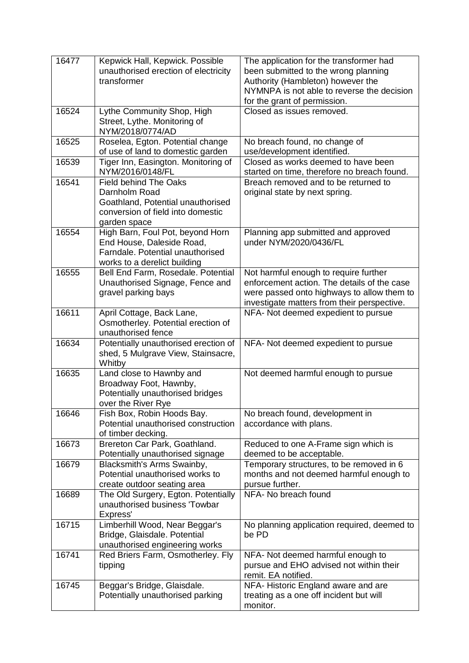| 16477 | Kepwick Hall, Kepwick. Possible<br>unauthorised erection of electricity<br>transformer                                                  | The application for the transformer had<br>been submitted to the wrong planning<br>Authority (Hambleton) however the<br>NYMNPA is not able to reverse the decision<br>for the grant of permission. |
|-------|-----------------------------------------------------------------------------------------------------------------------------------------|----------------------------------------------------------------------------------------------------------------------------------------------------------------------------------------------------|
| 16524 | Lythe Community Shop, High<br>Street, Lythe. Monitoring of<br>NYM/2018/0774/AD                                                          | Closed as issues removed.                                                                                                                                                                          |
| 16525 | Roselea, Egton. Potential change<br>of use of land to domestic garden                                                                   | No breach found, no change of<br>use/development identified.                                                                                                                                       |
| 16539 | Tiger Inn, Easington. Monitoring of<br>NYM/2016/0148/FL                                                                                 | Closed as works deemed to have been<br>started on time, therefore no breach found.                                                                                                                 |
| 16541 | <b>Field behind The Oaks</b><br>Darnholm Road<br>Goathland, Potential unauthorised<br>conversion of field into domestic<br>garden space | Breach removed and to be returned to<br>original state by next spring.                                                                                                                             |
| 16554 | High Barn, Foul Pot, beyond Horn<br>End House, Daleside Road,<br>Farndale. Potential unauthorised<br>works to a derelict building       | Planning app submitted and approved<br>under NYM/2020/0436/FL                                                                                                                                      |
| 16555 | Bell End Farm, Rosedale. Potential<br>Unauthorised Signage, Fence and<br>gravel parking bays                                            | Not harmful enough to require further<br>enforcement action. The details of the case<br>were passed onto highways to allow them to<br>investigate matters from their perspective.                  |
| 16611 | April Cottage, Back Lane,<br>Osmotherley. Potential erection of<br>unauthorised fence                                                   | NFA- Not deemed expedient to pursue                                                                                                                                                                |
| 16634 | Potentially unauthorised erection of<br>shed, 5 Mulgrave View, Stainsacre,<br>Whitby                                                    | NFA- Not deemed expedient to pursue                                                                                                                                                                |
| 16635 | Land close to Hawnby and<br>Broadway Foot, Hawnby,<br>Potentially unauthorised bridges<br>over the River Rye                            | Not deemed harmful enough to pursue                                                                                                                                                                |
| 16646 | Fish Box, Robin Hoods Bay.<br>Potential unauthorised construction<br>of timber decking.                                                 | No breach found, development in<br>accordance with plans.                                                                                                                                          |
| 16673 | Brereton Car Park, Goathland.<br>Potentially unauthorised signage                                                                       | Reduced to one A-Frame sign which is<br>deemed to be acceptable.                                                                                                                                   |
| 16679 | Blacksmith's Arms Swainby,<br>Potential unauthorised works to<br>create outdoor seating area                                            | Temporary structures, to be removed in 6<br>months and not deemed harmful enough to<br>pursue further.                                                                                             |
| 16689 | The Old Surgery, Egton. Potentially<br>unauthorised business 'Towbar<br>Express'                                                        | NFA- No breach found                                                                                                                                                                               |
| 16715 | Limberhill Wood, Near Beggar's<br>Bridge, Glaisdale. Potential<br>unauthorised engineering works                                        | No planning application required, deemed to<br>be PD                                                                                                                                               |
| 16741 | Red Briers Farm, Osmotherley. Fly<br>tipping                                                                                            | NFA- Not deemed harmful enough to<br>pursue and EHO advised not within their<br>remit. EA notified.                                                                                                |
| 16745 | Beggar's Bridge, Glaisdale.<br>Potentially unauthorised parking                                                                         | NFA-Historic England aware and are<br>treating as a one off incident but will<br>monitor.                                                                                                          |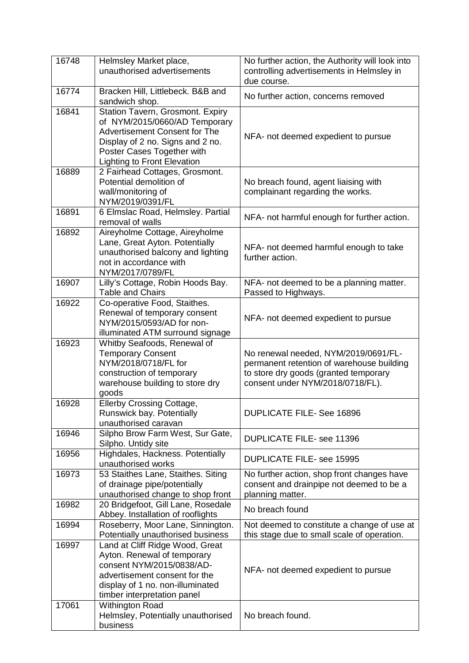| 16748 | Helmsley Market place,<br>unauthorised advertisements                                                                                                                                                      | No further action, the Authority will look into<br>controlling advertisements in Helmsley in<br>due course.                                                    |
|-------|------------------------------------------------------------------------------------------------------------------------------------------------------------------------------------------------------------|----------------------------------------------------------------------------------------------------------------------------------------------------------------|
| 16774 | Bracken Hill, Littlebeck. B&B and<br>sandwich shop.                                                                                                                                                        | No further action, concerns removed                                                                                                                            |
| 16841 | Station Tavern, Grosmont. Expiry<br>of NYM/2015/0660/AD Temporary<br>Advertisement Consent for The<br>Display of 2 no. Signs and 2 no.<br>Poster Cases Together with<br><b>Lighting to Front Elevation</b> | NFA- not deemed expedient to pursue                                                                                                                            |
| 16889 | 2 Fairhead Cottages, Grosmont.<br>Potential demolition of<br>wall/monitoring of<br>NYM/2019/0391/FL                                                                                                        | No breach found, agent liaising with<br>complainant regarding the works.                                                                                       |
| 16891 | 6 Elmslac Road, Helmsley. Partial<br>removal of walls                                                                                                                                                      | NFA- not harmful enough for further action.                                                                                                                    |
| 16892 | Aireyholme Cottage, Aireyholme<br>Lane, Great Ayton. Potentially<br>unauthorised balcony and lighting<br>not in accordance with<br>NYM/2017/0789/FL                                                        | NFA- not deemed harmful enough to take<br>further action.                                                                                                      |
| 16907 | Lilly's Cottage, Robin Hoods Bay.<br><b>Table and Chairs</b>                                                                                                                                               | NFA- not deemed to be a planning matter.<br>Passed to Highways.                                                                                                |
| 16922 | Co-operative Food, Staithes.<br>Renewal of temporary consent<br>NYM/2015/0593/AD for non-<br>illuminated ATM surround signage                                                                              | NFA- not deemed expedient to pursue                                                                                                                            |
| 16923 | Whitby Seafoods, Renewal of<br><b>Temporary Consent</b><br>NYM/2018/0718/FL for<br>construction of temporary<br>warehouse building to store dry<br>goods                                                   | No renewal needed, NYM/2019/0691/FL-<br>permanent retention of warehouse building<br>to store dry goods (granted temporary<br>consent under NYM/2018/0718/FL). |
| 16928 | Ellerby Crossing Cottage,<br>Runswick bay. Potentially<br>unauthorised caravan                                                                                                                             | <b>DUPLICATE FILE-See 16896</b>                                                                                                                                |
| 16946 | Silpho Brow Farm West, Sur Gate,<br>Silpho. Untidy site                                                                                                                                                    | <b>DUPLICATE FILE- see 11396</b>                                                                                                                               |
| 16956 | Highdales, Hackness. Potentially<br>unauthorised works                                                                                                                                                     | <b>DUPLICATE FILE- see 15995</b>                                                                                                                               |
| 16973 | 53 Staithes Lane, Staithes. Siting<br>of drainage pipe/potentially<br>unauthorised change to shop front                                                                                                    | No further action, shop front changes have<br>consent and drainpipe not deemed to be a<br>planning matter.                                                     |
| 16982 | 20 Bridgefoot, Gill Lane, Rosedale<br>Abbey. Installation of rooflights                                                                                                                                    | No breach found                                                                                                                                                |
| 16994 | Roseberry, Moor Lane, Sinnington.<br>Potentially unauthorised business                                                                                                                                     | Not deemed to constitute a change of use at<br>this stage due to small scale of operation.                                                                     |
| 16997 | Land at Cliff Ridge Wood, Great<br>Ayton. Renewal of temporary<br>consent NYM/2015/0838/AD-<br>advertisement consent for the<br>display of 1 no. non-illuminated<br>timber interpretation panel            | NFA- not deemed expedient to pursue                                                                                                                            |
| 17061 | Withington Road<br>Helmsley, Potentially unauthorised<br>business                                                                                                                                          | No breach found.                                                                                                                                               |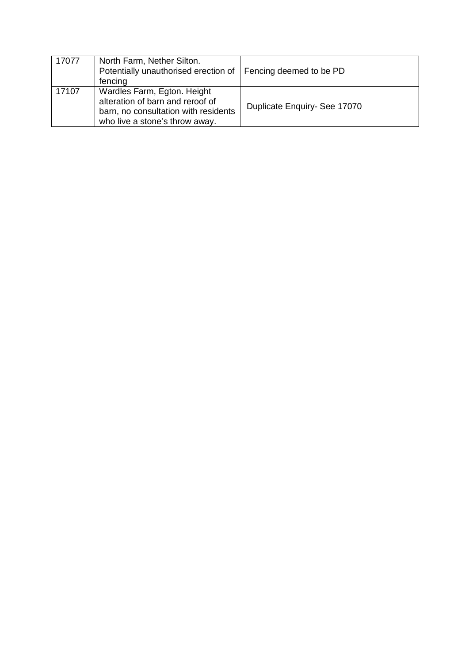| 17077 | North Farm, Nether Silton.<br>Potentially unauthorised erection of   Fencing deemed to be PD<br>fencing                                   |                              |
|-------|-------------------------------------------------------------------------------------------------------------------------------------------|------------------------------|
| 17107 | Wardles Farm, Egton. Height<br>alteration of barn and reroof of<br>barn, no consultation with residents<br>who live a stone's throw away. | Duplicate Enquiry- See 17070 |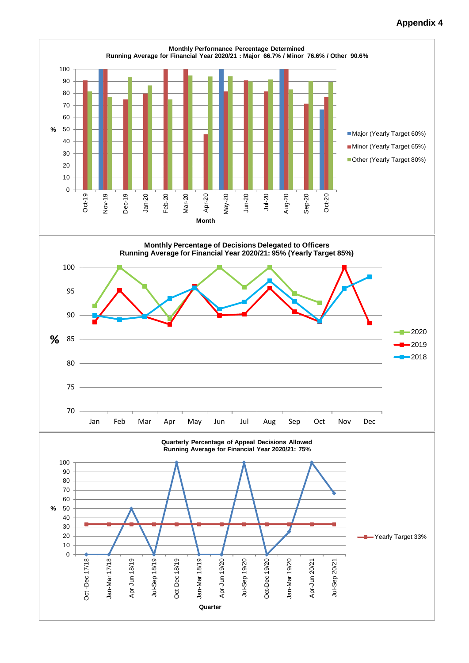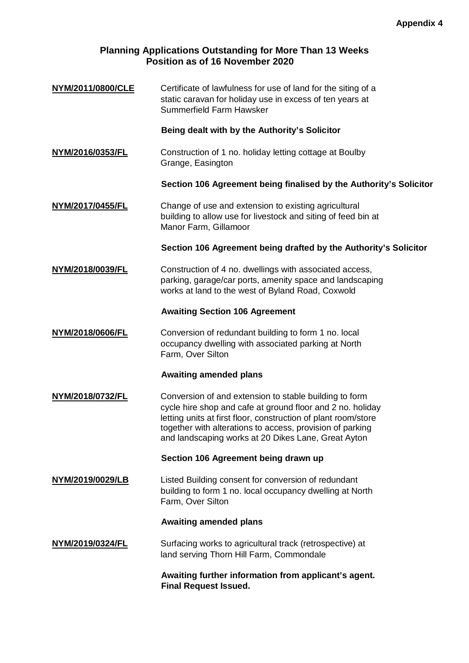# **Planning Applications Outstanding for More Than 13 Weeks Position as of 16 November 2020**

**[NYM/2011/0800/CLE](http://planning.northyorkmoors.org.uk/Northgate/PlanningExplorer/DisplayAppDetails.aspx?AppNo=NYM/2011/0800/CLE)** Certificate of lawfulness for use of land for the siting of a static caravan for holiday use in excess of ten years at Summerfield Farm Hawsker

## **Being dealt with by the Authority's Solicitor**

**[NYM/2016/0353/FL](http://planning.northyorkmoors.org.uk/Northgate/PlanningExplorer/DisplayAppDetails.aspx?AppNo=NYM/2016/0353/FL)** Construction of 1 no. holiday letting cottage at Boulby Grange, Easington

## **Section 106 Agreement being finalised by the Authority's Solicitor**

**[NYM/2017/0455/FL](http://planning.northyorkmoors.org.uk/Northgate/PlanningExplorer/DisplayAppDetails.aspx?AppNo=NYM/2017/0455/FL)** Change of use and extension to existing agricultural building to allow use for livestock and siting of feed bin at Manor Farm, Gillamoor

## **Section 106 Agreement being drafted by the Authority's Solicitor**

**[NYM/2018/0039/FL](http://planning.northyorkmoors.org.uk/Northgate/PlanningExplorer/DisplayAppDetails.aspx?AppNo=NYM/2018/0039/FL)** Construction of 4 no. dwellings with associated access, parking, garage/car ports, amenity space and landscaping works at land to the west of Byland Road, Coxwold

## **Awaiting Section 106 Agreement**

**[NYM/2018/0606/FL](http://planning.northyorkmoors.org.uk/Northgate/PlanningExplorer/DisplayAppDetails.aspx?AppNo=NYM/2018/0606/FL)** Conversion of redundant building to form 1 no. local occupancy dwelling with associated parking at North Farm, Over Silton

## **Awaiting amended plans**

**[NYM/2018/0732/FL](http://planning.northyorkmoors.org.uk/Northgate/PlanningExplorer/DisplayAppDetails.aspx?AppNo=NYM/2018/0732/FL)** Conversion of and extension to stable building to form cycle hire shop and cafe at ground floor and 2 no. holiday letting units at first floor, construction of plant room/store together with alterations to access, provision of parking and landscaping works at 20 Dikes Lane, Great Ayton

## **Section 106 Agreement being drawn up**

**[NYM/2019/0029/LB](http://planning.northyorkmoors.org.uk/Northgate/PlanningExplorer/DisplayAppDetails.aspx?AppNo=NYM/2019/0029/LB)** Listed Building consent for conversion of redundant building to form 1 no. local occupancy dwelling at North Farm, Over Silton

## **Awaiting amended plans**

**[NYM/2019/0324/FL](http://planning.northyorkmoors.org.uk/Northgate/PlanningExplorer/DisplayAppDetails.aspx?AppNo=NYM/2019/0324/FL)** Surfacing works to agricultural track (retrospective) at land serving Thorn Hill Farm, Commondale

> **Awaiting further information from applicant's agent. Final Request Issued.**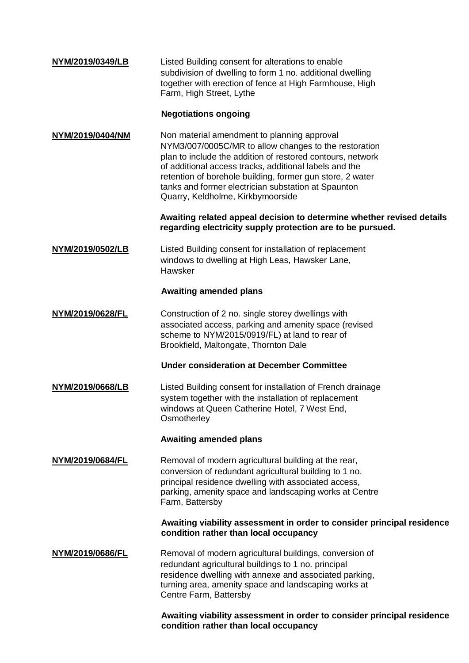| NYM/2019/0349/LB | Listed Building consent for alterations to enable<br>subdivision of dwelling to form 1 no. additional dwelling<br>together with erection of fence at High Farmhouse, High<br>Farm, High Street, Lythe                                                                                                                                                                                 |
|------------------|---------------------------------------------------------------------------------------------------------------------------------------------------------------------------------------------------------------------------------------------------------------------------------------------------------------------------------------------------------------------------------------|
|                  | <b>Negotiations ongoing</b>                                                                                                                                                                                                                                                                                                                                                           |
| NYM/2019/0404/NM | Non material amendment to planning approval<br>NYM3/007/0005C/MR to allow changes to the restoration<br>plan to include the addition of restored contours, network<br>of additional access tracks, additional labels and the<br>retention of borehole building, former gun store, 2 water<br>tanks and former electrician substation at Spaunton<br>Quarry, Keldholme, Kirkbymoorside |
|                  | Awaiting related appeal decision to determine whether revised details<br>regarding electricity supply protection are to be pursued.                                                                                                                                                                                                                                                   |
| NYM/2019/0502/LB | Listed Building consent for installation of replacement<br>windows to dwelling at High Leas, Hawsker Lane,<br>Hawsker                                                                                                                                                                                                                                                                 |
|                  | <b>Awaiting amended plans</b>                                                                                                                                                                                                                                                                                                                                                         |
| NYM/2019/0628/FL | Construction of 2 no. single storey dwellings with<br>associated access, parking and amenity space (revised<br>scheme to NYM/2015/0919/FL) at land to rear of<br>Brookfield, Maltongate, Thornton Dale                                                                                                                                                                                |
|                  | <b>Under consideration at December Committee</b>                                                                                                                                                                                                                                                                                                                                      |
| NYM/2019/0668/LB | Listed Building consent for installation of French drainage<br>system together with the installation of replacement<br>windows at Queen Catherine Hotel, 7 West End,<br>Osmotherley                                                                                                                                                                                                   |
|                  | <b>Awaiting amended plans</b>                                                                                                                                                                                                                                                                                                                                                         |
| NYM/2019/0684/FL | Removal of modern agricultural building at the rear,<br>conversion of redundant agricultural building to 1 no.<br>principal residence dwelling with associated access,<br>parking, amenity space and landscaping works at Centre<br>Farm, Battersby                                                                                                                                   |
|                  | Awaiting viability assessment in order to consider principal residence<br>condition rather than local occupancy                                                                                                                                                                                                                                                                       |
| NYM/2019/0686/FL | Removal of modern agricultural buildings, conversion of<br>redundant agricultural buildings to 1 no. principal<br>residence dwelling with annexe and associated parking,<br>turning area, amenity space and landscaping works at<br>Centre Farm, Battersby                                                                                                                            |
|                  | Awaiting viability assessment in order to consider principal residence                                                                                                                                                                                                                                                                                                                |

**condition rather than local occupancy**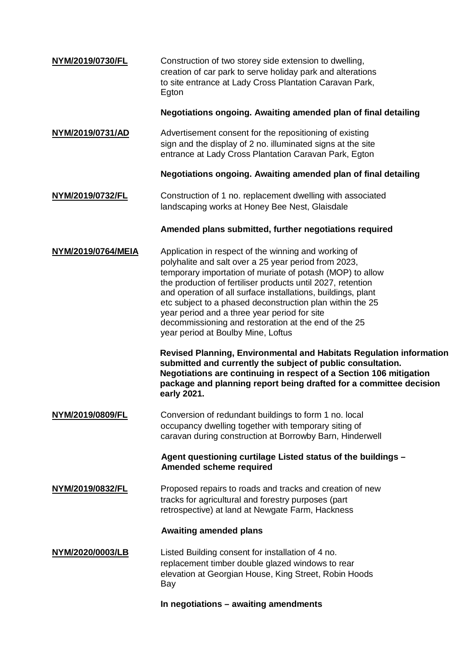| NYM/2019/0730/FL   | Construction of two storey side extension to dwelling,<br>creation of car park to serve holiday park and alterations<br>to site entrance at Lady Cross Plantation Caravan Park,<br>Egton                                                                                                                                                                                                                                                                                                                            |
|--------------------|---------------------------------------------------------------------------------------------------------------------------------------------------------------------------------------------------------------------------------------------------------------------------------------------------------------------------------------------------------------------------------------------------------------------------------------------------------------------------------------------------------------------|
|                    | Negotiations ongoing. Awaiting amended plan of final detailing                                                                                                                                                                                                                                                                                                                                                                                                                                                      |
| NYM/2019/0731/AD   | Advertisement consent for the repositioning of existing<br>sign and the display of 2 no. illuminated signs at the site<br>entrance at Lady Cross Plantation Caravan Park, Egton                                                                                                                                                                                                                                                                                                                                     |
|                    | Negotiations ongoing. Awaiting amended plan of final detailing                                                                                                                                                                                                                                                                                                                                                                                                                                                      |
| NYM/2019/0732/FL   | Construction of 1 no. replacement dwelling with associated<br>landscaping works at Honey Bee Nest, Glaisdale                                                                                                                                                                                                                                                                                                                                                                                                        |
|                    | Amended plans submitted, further negotiations required                                                                                                                                                                                                                                                                                                                                                                                                                                                              |
| NYM/2019/0764/MEIA | Application in respect of the winning and working of<br>polyhalite and salt over a 25 year period from 2023,<br>temporary importation of muriate of potash (MOP) to allow<br>the production of fertiliser products until 2027, retention<br>and operation of all surface installations, buildings, plant<br>etc subject to a phased deconstruction plan within the 25<br>year period and a three year period for site<br>decommissioning and restoration at the end of the 25<br>year period at Boulby Mine, Loftus |
|                    | <b>Revised Planning, Environmental and Habitats Regulation information</b><br>submitted and currently the subject of public consultation.<br>Negotiations are continuing in respect of a Section 106 mitigation<br>package and planning report being drafted for a committee decision<br>early 2021.                                                                                                                                                                                                                |
| NYM/2019/0809/FL   | Conversion of redundant buildings to form 1 no. local<br>occupancy dwelling together with temporary siting of<br>caravan during construction at Borrowby Barn, Hinderwell                                                                                                                                                                                                                                                                                                                                           |
|                    | Agent questioning curtilage Listed status of the buildings -<br>Amended scheme required                                                                                                                                                                                                                                                                                                                                                                                                                             |
| NYM/2019/0832/FL   | Proposed repairs to roads and tracks and creation of new<br>tracks for agricultural and forestry purposes (part<br>retrospective) at land at Newgate Farm, Hackness                                                                                                                                                                                                                                                                                                                                                 |
|                    | <b>Awaiting amended plans</b>                                                                                                                                                                                                                                                                                                                                                                                                                                                                                       |
| NYM/2020/0003/LB   | Listed Building consent for installation of 4 no.<br>replacement timber double glazed windows to rear<br>elevation at Georgian House, King Street, Robin Hoods<br>Bay                                                                                                                                                                                                                                                                                                                                               |
|                    |                                                                                                                                                                                                                                                                                                                                                                                                                                                                                                                     |

**In negotiations – awaiting amendments**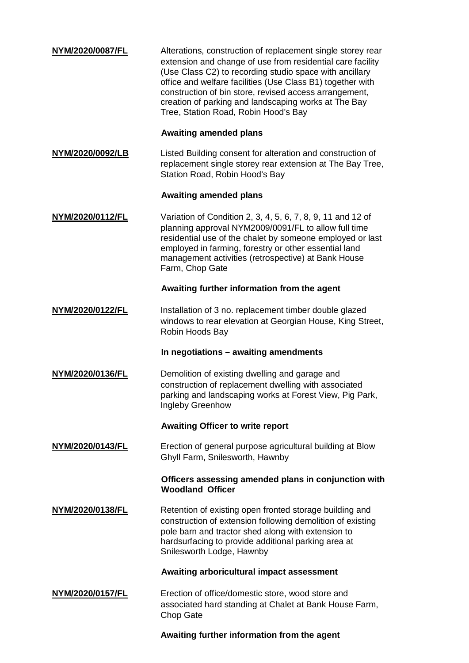| NYM/2020/0087/FL        | Alterations, construction of replacement single storey rear<br>extension and change of use from residential care facility<br>(Use Class C2) to recording studio space with ancillary<br>office and welfare facilities (Use Class B1) together with<br>construction of bin store, revised access arrangement,<br>creation of parking and landscaping works at The Bay<br>Tree, Station Road, Robin Hood's Bay |
|-------------------------|--------------------------------------------------------------------------------------------------------------------------------------------------------------------------------------------------------------------------------------------------------------------------------------------------------------------------------------------------------------------------------------------------------------|
|                         | <b>Awaiting amended plans</b>                                                                                                                                                                                                                                                                                                                                                                                |
| NYM/2020/0092/LB        | Listed Building consent for alteration and construction of<br>replacement single storey rear extension at The Bay Tree,<br>Station Road, Robin Hood's Bay                                                                                                                                                                                                                                                    |
|                         | <b>Awaiting amended plans</b>                                                                                                                                                                                                                                                                                                                                                                                |
| NYM/2020/0112/FL        | Variation of Condition 2, 3, 4, 5, 6, 7, 8, 9, 11 and 12 of<br>planning approval NYM2009/0091/FL to allow full time<br>residential use of the chalet by someone employed or last<br>employed in farming, forestry or other essential land<br>management activities (retrospective) at Bank House<br>Farm, Chop Gate                                                                                          |
|                         | Awaiting further information from the agent                                                                                                                                                                                                                                                                                                                                                                  |
| NYM/2020/0122/FL        | Installation of 3 no. replacement timber double glazed<br>windows to rear elevation at Georgian House, King Street,<br>Robin Hoods Bay                                                                                                                                                                                                                                                                       |
|                         | In negotiations - awaiting amendments                                                                                                                                                                                                                                                                                                                                                                        |
| NYM/2020/0136/FL        | Demolition of existing dwelling and garage and<br>construction of replacement dwelling with associated<br>parking and landscaping works at Forest View, Pig Park,<br>Ingleby Greenhow                                                                                                                                                                                                                        |
|                         | <b>Awaiting Officer to write report</b>                                                                                                                                                                                                                                                                                                                                                                      |
| NYM/2020/0143/FL        | Erection of general purpose agricultural building at Blow<br>Ghyll Farm, Snilesworth, Hawnby                                                                                                                                                                                                                                                                                                                 |
|                         | Officers assessing amended plans in conjunction with<br><b>Woodland Officer</b>                                                                                                                                                                                                                                                                                                                              |
| NYM/2020/0138/FL        | Retention of existing open fronted storage building and<br>construction of extension following demolition of existing<br>pole barn and tractor shed along with extension to<br>hardsurfacing to provide additional parking area at<br>Snilesworth Lodge, Hawnby                                                                                                                                              |
|                         | Awaiting arboricultural impact assessment                                                                                                                                                                                                                                                                                                                                                                    |
| <u>NYM/2020/0157/FL</u> | Erection of office/domestic store, wood store and<br>associated hard standing at Chalet at Bank House Farm,<br>Chop Gate                                                                                                                                                                                                                                                                                     |

**Awaiting further information from the agent**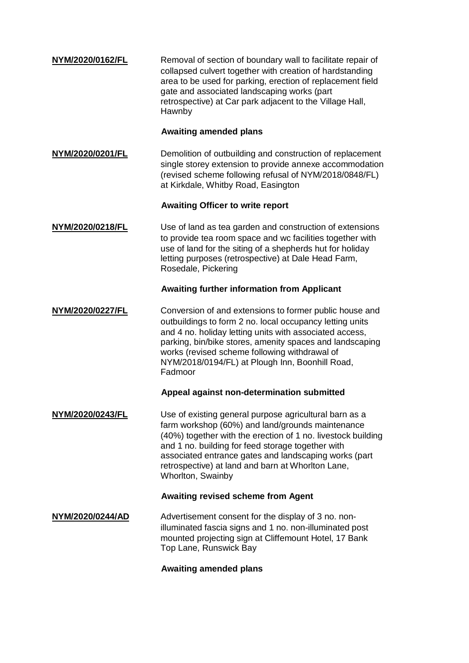| NYM/2020/0162/FL | Removal of section of boundary wall to facilitate repair of |
|------------------|-------------------------------------------------------------|
|                  | collapsed culvert together with creation of hardstanding    |
|                  | area to be used for parking, erection of replacement field  |
|                  | gate and associated landscaping works (part                 |
|                  | retrospective) at Car park adjacent to the Village Hall,    |
|                  | Hawnby                                                      |

#### **Awaiting amended plans**

**[NYM/2020/0201/FL](http://planning.northyorkmoors.org.uk/Northgate/PlanningExplorer/DisplayAppDetails.aspx?AppNo=NYM/2020/0201/FL)** Demolition of outbuilding and construction of replacement single storey extension to provide annexe accommodation (revised scheme following refusal of NYM/2018/0848/FL) at Kirkdale, Whitby Road, Easington

## **Awaiting Officer to write report**

## **[NYM/2020/0218/FL](http://planning.northyorkmoors.org.uk/Northgate/PlanningExplorer/DisplayAppDetails.aspx?AppNo=NYM/2020/0218/FL)** Use of land as tea garden and construction of extensions to provide tea room space and wc facilities together with use of land for the siting of a shepherds hut for holiday letting purposes (retrospective) at Dale Head Farm, Rosedale, Pickering

## **Awaiting further information from Applicant**

#### **[NYM/2020/0227/FL](http://planning.northyorkmoors.org.uk/Northgate/PlanningExplorer/DisplayAppDetails.aspx?AppNo=NYM/2020/0227/FL)** Conversion of and extensions to former public house and outbuildings to form 2 no. local occupancy letting units and 4 no. holiday letting units with associated access, parking, bin/bike stores, amenity spaces and landscaping works (revised scheme following withdrawal of NYM/2018/0194/FL) at Plough Inn, Boonhill Road, Fadmoor

#### **Appeal against non-determination submitted**

**[NYM/2020/0243/FL](http://planning.northyorkmoors.org.uk/Northgate/PlanningExplorer/DisplayAppDetails.aspx?AppNo=NYM/2020/0243/FL)** Use of existing general purpose agricultural barn as a farm workshop (60%) and land/grounds maintenance (40%) together with the erection of 1 no. livestock building and 1 no. building for feed storage together with associated entrance gates and landscaping works (part retrospective) at land and barn at Whorlton Lane, Whorlton, Swainby

## **Awaiting revised scheme from Agent**

**[NYM/2020/0244/AD](http://planning.northyorkmoors.org.uk/Northgate/PlanningExplorer/DisplayAppDetails.aspx?AppNo=NYM/2020/0244/AD)** Advertisement consent for the display of 3 no. nonilluminated fascia signs and 1 no. non-illuminated post mounted projecting sign at Cliffemount Hotel, 17 Bank Top Lane, Runswick Bay

#### **Awaiting amended plans**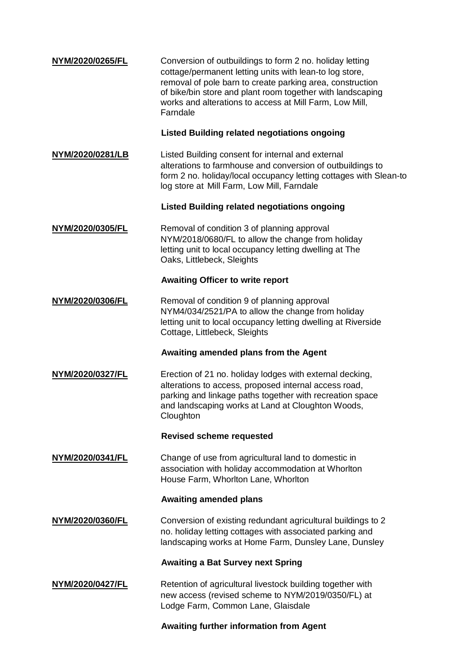| NYM/2020/0265/FL | Conversion of outbuildings to form 2 no. holiday letting<br>cottage/permanent letting units with lean-to log store,<br>removal of pole barn to create parking area, construction<br>of bike/bin store and plant room together with landscaping<br>works and alterations to access at Mill Farm, Low Mill,<br>Farndale |
|------------------|-----------------------------------------------------------------------------------------------------------------------------------------------------------------------------------------------------------------------------------------------------------------------------------------------------------------------|
|                  | <b>Listed Building related negotiations ongoing</b>                                                                                                                                                                                                                                                                   |
| NYM/2020/0281/LB | Listed Building consent for internal and external<br>alterations to farmhouse and conversion of outbuildings to<br>form 2 no. holiday/local occupancy letting cottages with Slean-to<br>log store at Mill Farm, Low Mill, Farndale                                                                                    |
|                  | <b>Listed Building related negotiations ongoing</b>                                                                                                                                                                                                                                                                   |
| NYM/2020/0305/FL | Removal of condition 3 of planning approval<br>NYM/2018/0680/FL to allow the change from holiday<br>letting unit to local occupancy letting dwelling at The<br>Oaks, Littlebeck, Sleights                                                                                                                             |
|                  | <b>Awaiting Officer to write report</b>                                                                                                                                                                                                                                                                               |
| NYM/2020/0306/FL | Removal of condition 9 of planning approval<br>NYM4/034/2521/PA to allow the change from holiday<br>letting unit to local occupancy letting dwelling at Riverside<br>Cottage, Littlebeck, Sleights                                                                                                                    |
|                  | Awaiting amended plans from the Agent                                                                                                                                                                                                                                                                                 |
| NYM/2020/0327/FL | Erection of 21 no. holiday lodges with external decking,<br>alterations to access, proposed internal access road,<br>parking and linkage paths together with recreation space<br>and landscaping works at Land at Cloughton Woods,<br>Cloughton                                                                       |
|                  | <b>Revised scheme requested</b>                                                                                                                                                                                                                                                                                       |
| NYM/2020/0341/FL | Change of use from agricultural land to domestic in<br>association with holiday accommodation at Whorlton<br>House Farm, Whorlton Lane, Whorlton                                                                                                                                                                      |
|                  | <b>Awaiting amended plans</b>                                                                                                                                                                                                                                                                                         |
|                  |                                                                                                                                                                                                                                                                                                                       |
| NYM/2020/0360/FL | Conversion of existing redundant agricultural buildings to 2<br>no. holiday letting cottages with associated parking and<br>landscaping works at Home Farm, Dunsley Lane, Dunsley                                                                                                                                     |
|                  | <b>Awaiting a Bat Survey next Spring</b>                                                                                                                                                                                                                                                                              |
| NYM/2020/0427/FL | Retention of agricultural livestock building together with<br>new access (revised scheme to NYM/2019/0350/FL) at<br>Lodge Farm, Common Lane, Glaisdale                                                                                                                                                                |